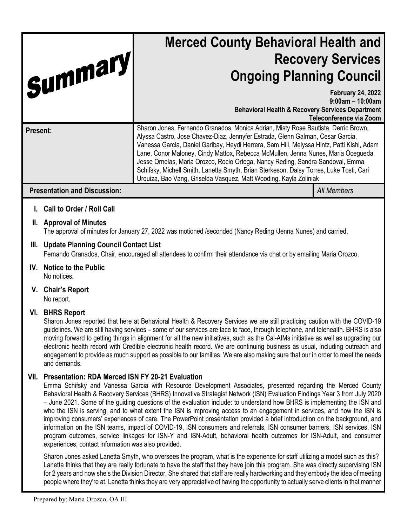| Summary                                                     | <b>Merced County Behavioral Health and</b><br><b>Recovery Services</b><br><b>Ongoing Planning Council</b>                                                                                                                                                                                                                                                                                                                                                                                                                                                                                                |                                                                            |
|-------------------------------------------------------------|----------------------------------------------------------------------------------------------------------------------------------------------------------------------------------------------------------------------------------------------------------------------------------------------------------------------------------------------------------------------------------------------------------------------------------------------------------------------------------------------------------------------------------------------------------------------------------------------------------|----------------------------------------------------------------------------|
|                                                             | <b>Behavioral Health &amp; Recovery Services Department</b>                                                                                                                                                                                                                                                                                                                                                                                                                                                                                                                                              | <b>February 24, 2022</b><br>$9:00$ am - 10:00am<br>Teleconference via Zoom |
| Present:                                                    | Sharon Jones, Fernando Granados, Monica Adrian, Misty Rose Bautista, Derric Brown,<br>Alyssa Castro, Jose Chavez-Diaz, Jennyfer Estrada, Glenn Galman, Cesar Garcia,<br>Vanessa Garcia, Daniel Garibay, Heydi Herrera, Sam Hill, Melyssa Hintz, Patti Kishi, Adam<br>Lane, Conor Maloney, Cindy Mattox, Rebecca McMullen, Jenna Nunes, Maria Ocegueda,<br>Jesse Ornelas, Maria Orozco, Rocio Ortega, Nancy Reding, Sandra Sandoval, Emma<br>Schifsky, Michell Smith, Lanetta Smyth, Brian Sterkeson, Daisy Torres, Luke Tosti, Cari<br>Urquiza, Bao Vang, Griselda Vasquez, Matt Wooding, Kayla Zoliniak |                                                                            |
| <b>Presentation and Discussion:</b>                         |                                                                                                                                                                                                                                                                                                                                                                                                                                                                                                                                                                                                          | <b>All Members</b>                                                         |
| <b>Call to Order / Roll Call</b><br>II. Approval of Minutes |                                                                                                                                                                                                                                                                                                                                                                                                                                                                                                                                                                                                          |                                                                            |

The approval of minutes for January 27, 2022 was motioned /seconded (Nancy Reding /Jenna Nunes) and carried.

# **III. Update Planning Council Contact List**

Fernando Granados, Chair, encouraged all attendees to confirm their attendance via chat or by emailing Maria Orozco.

- **IV. Notice to the Public** No notices.
- **V. Chair's Report**

No report.

# **VI. BHRS Report**

Sharon Jones reported that here at Behavioral Health & Recovery Services we are still practicing caution with the COVID-19 guidelines. We are still having services – some of our services are face to face, through telephone, and telehealth. BHRS is also moving forward to getting things in alignment for all the new initiatives, such as the Cal-AIMs initiative as well as upgrading our electronic health record with Credible electronic health record. We are continuing business as usual, including outreach and engagement to provide as much support as possible to our families. We are also making sure that our in order to meet the needs and demands.

# **VII. Presentation: RDA Merced ISN FY 20-21 Evaluation**

Emma Schifsky and Vanessa Garcia with Resource Development Associates, presented regarding the Merced County Behavioral Health & Recovery Services (BHRS) Innovative Strategist Network (ISN) Evaluation Findings Year 3 from July 2020 – June 2021. Some of the guiding questions of the evaluation include: to understand how BHRS is implementing the ISN and who the ISN is serving, and to what extent the ISN is improving access to an engagement in services, and how the ISN is improving consumers' experiences of care. The PowerPoint presentation provided a brief introduction on the background, and information on the ISN teams, impact of COVID-19, ISN consumers and referrals, ISN consumer barriers, ISN services, ISN program outcomes, service linkages for ISN-Y and ISN-Adult, behavioral health outcomes for ISN-Adult, and consumer experiences; contact information was also provided.

Sharon Jones asked Lanetta Smyth, who oversees the program, what is the experience for staff utilizing a model such as this? Lanetta thinks that they are really fortunate to have the staff that they have join this program. She was directly supervising ISN for 2 years and now she's the Division Director. She shared that staff are really hardworking and they embody the idea of meeting people where they're at. Lanetta thinks they are very appreciative of having the opportunity to actually serve clients in that manner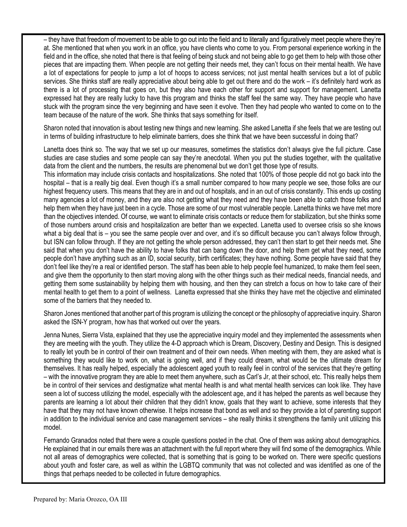– they have that freedom of movement to be able to go out into the field and to literally and figuratively meet people where they're at. She mentioned that when you work in an office, you have clients who come to you. From personal experience working in the field and in the office, she noted that there is that feeling of being stuck and not being able to go get them to help with those other pieces that are impacting them. When people are not getting their needs met, they can't focus on their mental health. We have a lot of expectations for people to jump a lot of hoops to access services; not just mental health services but a lot of public services. She thinks staff are really appreciative about being able to get out there and do the work – it's definitely hard work as there is a lot of processing that goes on, but they also have each other for support and support for management. Lanetta expressed hat they are really lucky to have this program and thinks the staff feel the same way. They have people who have stuck with the program since the very beginning and have seen it evolve. Then they had people who wanted to come on to the team because of the nature of the work. She thinks that says something for itself.

Sharon noted that innovation is about testing new things and new learning. She asked Lanetta if she feels that we are testing out in terms of building infrastructure to help eliminate barriers, does she think that we have been successful in doing that?

Lanetta does think so. The way that we set up our measures, sometimes the statistics don't always give the full picture. Case studies are case studies and some people can say they're anecdotal. When you put the studies together, with the qualitative data from the client and the numbers, the results are phenomenal but we don't get those type of results.

This information may include crisis contacts and hospitalizations. She noted that 100% of those people did not go back into the hospital – that is a really big deal. Even though it's a small number compared to how many people we see, those folks are our highest frequency users. This means that they are in and out of hospitals, and in an out of crisis constantly. This ends up costing many agencies a lot of money, and they are also not getting what they need and they have been able to catch those folks and help them when they have just been in a cycle. Those are some of our most vulnerable people. Lanetta thinks we have met more than the objectives intended. Of course, we want to eliminate crisis contacts or reduce them for stabilization, but she thinks some of those numbers around crisis and hospitalization are better than we expected. Lanetta used to oversee crisis so she knows what a big deal that is – you see the same people over and over, and it's so difficult because you can't always follow through, but ISN can follow through. If they are not getting the whole person addressed, they can't then start to get their needs met. She said that when you don't have the ability to have folks that can bang down the door, and help them get what they need, some people don't have anything such as an ID, social security, birth certificates; they have nothing. Some people have said that they don't feel like they're a real or identified person. The staff has been able to help people feel humanized, to make them feel seen, and give them the opportunity to then start moving along with the other things such as their medical needs, financial needs, and getting them some sustainability by helping them with housing, and then they can stretch a focus on how to take care of their mental health to get them to a point of wellness. Lanetta expressed that she thinks they have met the objective and eliminated some of the barriers that they needed to.

Sharon Jones mentioned that another part of this program is utilizing the concept or the philosophy of appreciative inquiry. Sharon asked the ISN-Y program, how has that worked out over the years.

Jenna Nunes, Sierra Vista, explained that they use the appreciative inquiry model and they implemented the assessments when they are meeting with the youth. They utilize the 4-D approach which is Dream, Discovery, Destiny and Design. This is designed to really let youth be in control of their own treatment and of their own needs. When meeting with them, they are asked what is something they would like to work on, what is going well, and if they could dream, what would be the ultimate dream for themselves. It has really helped, especially the adolescent aged youth to really feel in control of the services that they're getting – with the innovative program they are able to meet them anywhere, such as Carl's Jr, at their school, etc. This really helps them be in control of their services and destigmatize what mental health is and what mental health services can look like. They have seen a lot of success utilizing the model, especially with the adolescent age, and it has helped the parents as well because they parents are learning a lot about their children that they didn't know, goals that they want to achieve, some interests that they have that they may not have known otherwise. It helps increase that bond as well and so they provide a lot of parenting support in addition to the individual service and case management services – she really thinks it strengthens the family unit utilizing this model.

Fernando Granados noted that there were a couple questions posted in the chat. One of them was asking about demographics. He explained that in our emails there was an attachment with the full report where they will find some of the demographics. While not all areas of demographics were collected, that is something that is going to be worked on. There were specific questions about youth and foster care, as well as within the LGBTQ community that was not collected and was identified as one of the things that perhaps needed to be collected in future demographics.